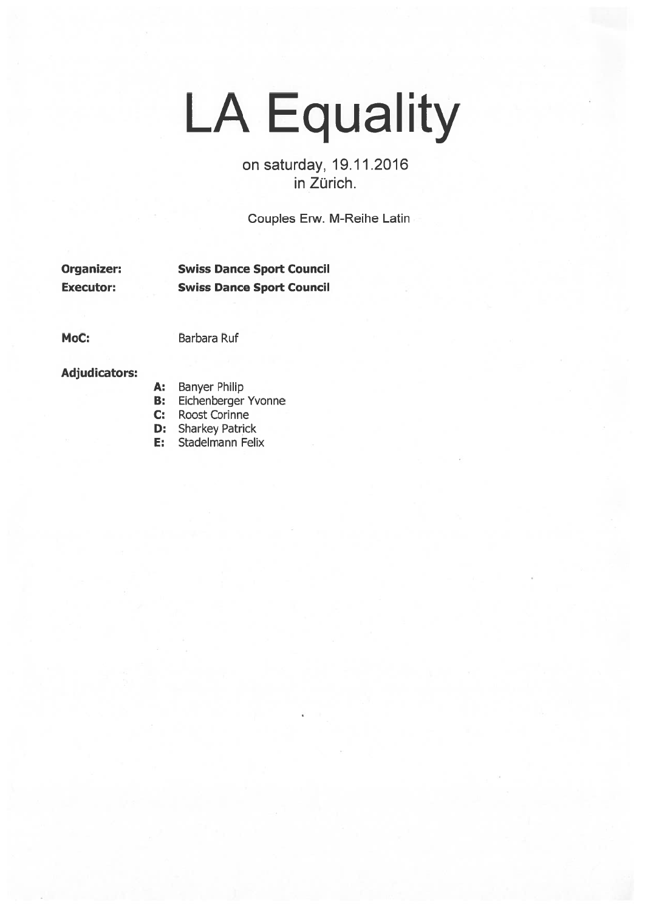## LA Equality

on saturday, 19.11.2016 in Zürich.

Couples Erw. M-Reihe Latin

Organizer: Swiss Dance Sport Council Executor: Swiss Dance Sport Council

MoC: Barbara Ruf

Adjudicators:

- A: Banyer Philip
- B: Eichenberger Yvonne
- C: Roost Corinne
- **D:** Sharkey Patrick
- E: Stadelmann Felix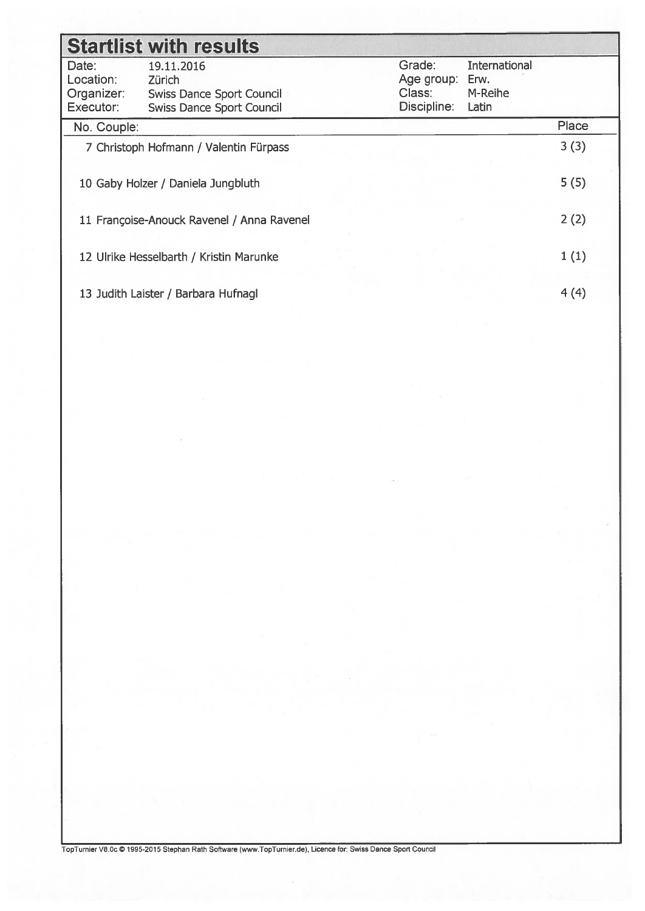| <b>Startlist with results</b>          |                                            |                      |                       |       |  |  |  |  |  |  |  |
|----------------------------------------|--------------------------------------------|----------------------|-----------------------|-------|--|--|--|--|--|--|--|
| Date:                                  | 19.11.2016                                 | Grade:               | International<br>Erw. |       |  |  |  |  |  |  |  |
| Location:<br>Organizer:                | Zürich<br><b>Swiss Dance Sport Council</b> | Age group:<br>Class: |                       |       |  |  |  |  |  |  |  |
| Executor:                              | <b>Swiss Dance Sport Council</b>           | Discipline:          | M-Reihe<br>Latin      |       |  |  |  |  |  |  |  |
| No. Couple:                            |                                            |                      |                       | Place |  |  |  |  |  |  |  |
| 7 Christoph Hofmann / Valentin Fürpass |                                            | 3(3)                 |                       |       |  |  |  |  |  |  |  |
|                                        | 10 Gaby Holzer / Daniela Jungbluth         |                      |                       | 5(5)  |  |  |  |  |  |  |  |
|                                        | 11 Françoise-Anouck Ravenel / Anna Ravenel |                      |                       | 2(2)  |  |  |  |  |  |  |  |
|                                        | 12 Ulrike Hesselbarth / Kristin Marunke    |                      |                       | 1(1)  |  |  |  |  |  |  |  |
|                                        | 13 Judith Laister / Barbara Hufnagl        |                      |                       | 4(4)  |  |  |  |  |  |  |  |